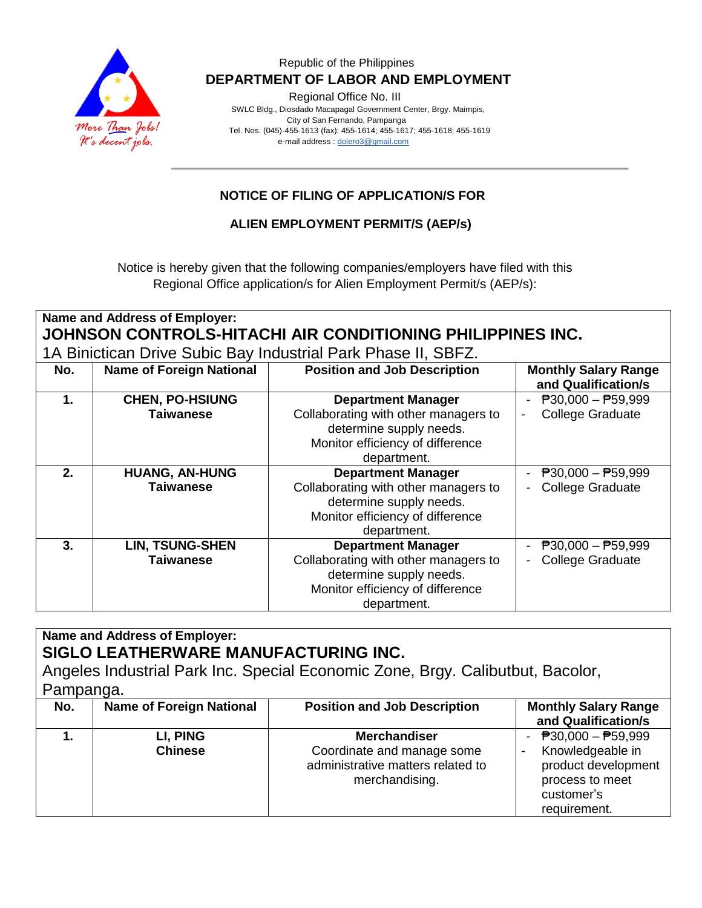

#### Republic of the Philippines  **DEPARTMENT OF LABOR AND EMPLOYMENT**

Regional Office No. III

 SWLC Bldg., Diosdado Macapagal Government Center, Brgy. Maimpis, City of San Fernando, Pampanga Tel. Nos. (045)-455-1613 (fax): 455-1614; 455-1617; 455-1618; 455-1619 e-mail address [: dolero3@gmail.com](mailto:dolero3@gmail.com)

# **NOTICE OF FILING OF APPLICATION/S FOR**

### **ALIEN EMPLOYMENT PERMIT/S (AEP/s)**

Notice is hereby given that the following companies/employers have filed with this Regional Office application/s for Alien Employment Permit/s (AEP/s):

**Name and Address of Employer: JOHNSON CONTROLS-HITACHI AIR CONDITIONING PHILIPPINES INC.** 1A Binictican Drive Subic Bay Industrial Park Phase II, SBFZ.

| IN DIHUUQIT DIIVE OUDIG DAY IHUUSUTAH TAIN FIIASE II, ODI Z. |                                 |                                                                                                                    |                                                    |  |
|--------------------------------------------------------------|---------------------------------|--------------------------------------------------------------------------------------------------------------------|----------------------------------------------------|--|
| No.                                                          | <b>Name of Foreign National</b> | <b>Position and Job Description</b>                                                                                | <b>Monthly Salary Range</b><br>and Qualification/s |  |
| 1.                                                           | <b>CHEN, PO-HSIUNG</b>          | <b>Department Manager</b>                                                                                          | $\overline{P}30,000 - \overline{P}59,999$          |  |
|                                                              | <b>Taiwanese</b>                | Collaborating with other managers to<br>determine supply needs.<br>Monitor efficiency of difference<br>department. | <b>College Graduate</b><br>-                       |  |
| 2.                                                           | <b>HUANG, AN-HUNG</b>           | <b>Department Manager</b>                                                                                          | $P30,000 - P59,999$                                |  |
|                                                              | <b>Taiwanese</b>                | Collaborating with other managers to<br>determine supply needs.<br>Monitor efficiency of difference<br>department. | <b>College Graduate</b>                            |  |
| 3.                                                           | <b>LIN, TSUNG-SHEN</b>          | <b>Department Manager</b>                                                                                          | $\overline{P}30,000 - \overline{P}59,999$          |  |
|                                                              | <b>Taiwanese</b>                | Collaborating with other managers to<br>determine supply needs.                                                    | <b>College Graduate</b>                            |  |
|                                                              |                                 | Monitor efficiency of difference<br>department.                                                                    |                                                    |  |

**Name and Address of Employer: SIGLO LEATHERWARE MANUFACTURING INC.** Angeles Industrial Park Inc. Special Economic Zone, Brgy. Calibutbut, Bacolor, Pampanga. **No. Name of Foreign National Position and Job Description | Monthly Salary Range and Qualification/s 1. LI, PING Chinese Merchandiser** Coordinate and manage some administrative matters related to merchandising.  $- P30,000 - P59,999$ Knowledgeable in product development process to meet customer's requirement.